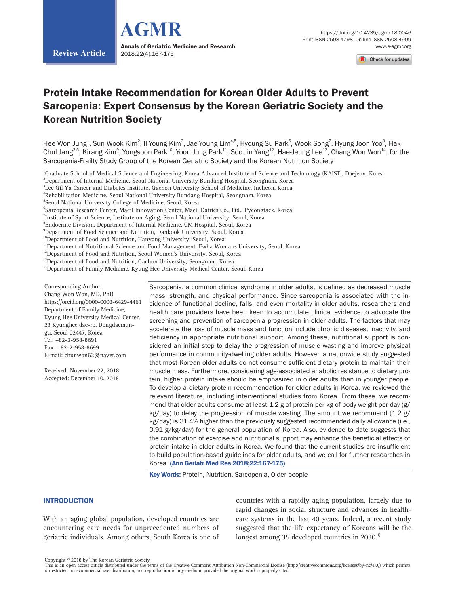



# Protein Intake Recommendation for Korean Older Adults to Prevent Sarcopenia: Expert Consensus by the Korean Geriatric Society and the Korean Nutrition Society

Hee-Won Jung<sup>1</sup>, Sun-Wook Kim<sup>2</sup>, Il-Young Kim<sup>3</sup>, Jae-Young Lim<sup>4,5</sup>, Hyoung-Su Park<sup>6</sup>, Wook Song<sup>7</sup>, Hyung Joon Yoo<sup>8</sup>, Hak-Chul Jang $^{2,5}$ , Kirang Kim $^9$ , Yongsoon Park $^{10}$ , Yoon Jung Park $^{11}$ , Soo Jin Yang $^{12}$ , Hae-Jeung Lee $^{13}$ , Chang Won Won $^{14}$ ; for the Sarcopenia-Frailty Study Group of the Korean Geriatric Society and the Korean Nutrition Society

<sup>1</sup>Graduate School of Medical Science and Engineering, Korea Advanced Institute of Science and Technology (KAIST), Daejeon, Korea

 $^{\rm 2}$ Department of Internal Medicine, Seoul National University Bundang Hospital, Seongnam, Korea

 $^3$ Lee Gil Ya Cancer and Diabetes Institute, Gachon University School of Medicine, Incheon, Korea

4 Rehabilitation Medicine, Seoul National University Bundang Hospital, Seongnam, Korea

5 Seoul National University College of Medicine, Seoul, Korea

6 Sarcopenia Research Center, Maeil Innovation Center, Maeil Dairies Co., Ltd., Pyeongtaek, Korea

 $^7$ Institute of Sport Science, Institute on Aging, Seoul National University, Seoul, Korea

 $^{\rm 8}$ Endocrine Division, Department of Internal Medicine, CM Hospital, Seoul, Korea

 $^9$ Department of Food Science and Nutrition, Dankook University, Seoul, Korea

<sup>10</sup>Department of Food and Nutrition, Hanyang University, Seoul, Korea

<sup>11</sup>Department of Nutritional Science and Food Management, Ewha Womans University, Seoul, Korea

<sup>12</sup>Department of Food and Nutrition, Seoul Women's University, Seoul, Korea

<sup>13</sup>Department of Food and Nutrition, Gachon University, Seongnam, Korea

<sup>14</sup>Department of Family Medicine, Kyung Hee University Medical Center, Seoul, Korea

Corresponding Author: Chang Won Won, MD, PhD https://orcid.org/0000-0002-6429-4461 Department of Family Medicine, Kyung Hee University Medical Center, 23 Kyunghee dae-ro, Dongdaemungu, Seoul 02447, Korea Tel: +82-2-958-8691 Fax: +82-2-958-8699 E-mail: chunwon62@naver.com

**Review Article**

Received: November 22, 2018 Accepted: December 10, 2018 Sarcopenia, a common clinical syndrome in older adults, is defined as decreased muscle mass, strength, and physical performance. Since sarcopenia is associated with the incidence of functional decline, falls, and even mortality in older adults, researchers and health care providers have been keen to accumulate clinical evidence to advocate the screening and prevention of sarcopenia progression in older adults. The factors that may accelerate the loss of muscle mass and function include chronic diseases, inactivity, and deficiency in appropriate nutritional support. Among these, nutritional support is considered an initial step to delay the progression of muscle wasting and improve physical performance in community-dwelling older adults. However, a nationwide study suggested that most Korean older adults do not consume sufficient dietary protein to maintain their muscle mass. Furthermore, considering age-associated anabolic resistance to dietary protein, higher protein intake should be emphasized in older adults than in younger people. To develop a dietary protein recommendation for older adults in Korea, we reviewed the relevant literature, including interventional studies from Korea. From these, we recommend that older adults consume at least 1.2 g of protein per kg of body weight per day (g/ kg/day) to delay the progression of muscle wasting. The amount we recommend (1.2 g/ kg/day) is 31.4% higher than the previously suggested recommended daily allowance (i.e., 0.91 g/kg/day) for the general population of Korea. Also, evidence to date suggests that the combination of exercise and nutritional support may enhance the beneficial effects of protein intake in older adults in Korea. We found that the current studies are insufficient to build population-based guidelines for older adults, and we call for further researches in Korea. (Ann Geriatr Med Res 2018;22:167-175)

**Key Words: Protein, Nutrition, Sarcopenia, Older people** 

## **INTRODUCTION**

With an aging global population, developed countries are encountering care needs for unprecedented numbers of geriatric individuals. Among others, South Korea is one of countries with a rapidly aging population, largely due to rapid changes in social structure and advances in healthcare systems in the last 40 years. Indeed, a recent study suggested that the life expectancy of Koreans will be the longest among 35 developed countries in 2030. $^{1}$ 

Copyright © 2018 by The Korean Geriatric Society

This is an open access article distributed under the terms of the Creative Commons Attribution Non-Commercial License (http://creativecommons.org/licenses/by-nc/4.0/) which permits unrestricted non-commercial use, distribution, and reproduction in any medium, provided the original work is properly cited.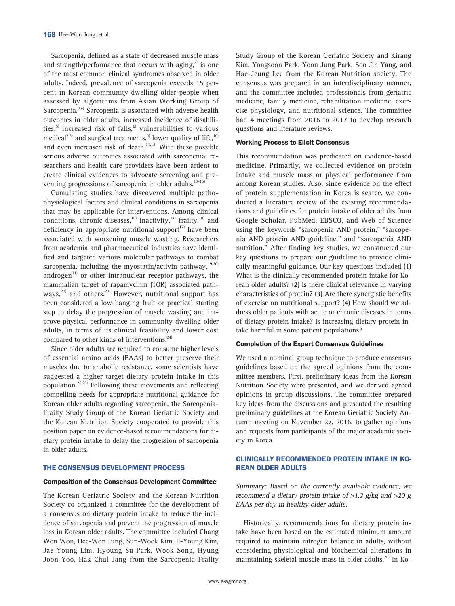Sarcopenia, defined as a state of decreased muscle mass and strength/performance that occurs with aging, $^{2}$  is one of the most common clinical syndromes observed in older adults. Indeed, prevalence of sarcopenia exceeds 15 percent in Korean community dwelling older people when assessed by algorithms from Asian Working Group of Sarcopenia.3,4) Sarcopenia is associated with adverse health outcomes in older adults, increased incidence of disabilities,<sup>5)</sup> increased risk of falls,<sup>6)</sup> vulnerabilities to various medical<sup>7,8)</sup> and surgical treatments,<sup>9)</sup> lower quality of life,<sup>10)</sup> and even increased risk of death.<sup>11,12)</sup> With these possible serious adverse outcomes associated with sarcopenia, researchers and health care providers have been ardent to create clinical evidences to advocate screening and preventing progressions of sarcopenia in older adults. $13-15$ 

Cumulating studies have discovered multiple pathophysiological factors and clinical conditions in sarcopenia that may be applicable for interventions. Among clinical conditions, chronic diseases,<sup>16)</sup> inactivity,<sup>17)</sup> frailty,<sup>18)</sup> and deficiency in appropriate nutritional support<sup>17)</sup> have been associated with worsening muscle wasting. Researchers from academia and pharmaceutical industries have identified and targeted various molecular pathways to combat sarcopenia, including the myostatin/activin pathway, $19,20)$ androgen<sup>21)</sup> or other intranuclear receptor pathways, the mammalian target of rapamycinm (TOR) associated pathways, $22$ ) and others. $23$  However, nutritional support has been considered a low-hanging fruit or practical starting step to delay the progression of muscle wasting and improve physical performance in community-dwelling older adults, in terms of its clinical feasibility and lower cost compared to other kinds of interventions.<sup>24)</sup>

Since older adults are required to consume higher levels of essential amino acids (EAAs) to better preserve their muscles due to anabolic resistance, some scientists have suggested a higher target dietary protein intake in this population.25,26) Following these movements and reflecting compelling needs for appropriate nutritional guidance for Korean older adults regarding sarcopenia, the Sarcopenia-Frailty Study Group of the Korean Geriatric Society and the Korean Nutrition Society cooperated to provide this position paper on evidence-based recommendations for dietary protein intake to delay the progression of sarcopenia in older adults.

## THE CONSENSUS DEVELOPMENT PROCESS

#### Composition of the Consensus Development Committee

The Korean Geriatric Society and the Korean Nutrition Society co-organized a committee for the development of a consensus on dietary protein intake to reduce the incidence of sarcopenia and prevent the progression of muscle loss in Korean older adults. The committee included Chang Won Won, Hee-Won Jung, Sun-Wook Kim, Il-Young Kim, Jae-Young Lim, Hyoung-Su Park, Wook Song, Hyung Joon Yoo, Hak-Chul Jang from the Sarcopenia-Frailty

Study Group of the Korean Geriatric Society and Kirang Kim, Yongsoon Park, Yoon Jung Park, Soo Jin Yang, and Hae-Jeung Lee from the Korean Nutrition society. The consensus was prepared in an interdisciplinary manner, and the committee included professionals from geriatric medicine, family medicine, rehabilitation medicine, exercise physiology, and nutritional science. The committee had 4 meetings from 2016 to 2017 to develop research questions and literature reviews.

#### Working Process to Elicit Consensus

This recommendation was predicated on evidence-based medicine. Primarily, we collected evidence on protein intake and muscle mass or physical performance from among Korean studies. Also, since evidence on the effect of protein supplementation in Korea is scarce, we conducted a literature review of the existing recommendations and guidelines for protein intake of older adults from Google Scholar, PubMed, EBSCO, and Web of Science using the keywords "sarcopenia AND protein," "sarcopenia AND protein AND guideline," and "sarcopenia AND nutrition." After finding key studies, we constructed our key questions to prepare our guideline to provide clinically meaningful guidance. Our key questions included (1) What is the clinically recommended protein intake for Korean older adults? (2) Is there clinical relevance in varying characteristics of protein? (3) Are there synergistic benefits of exercise on nutritional support? (4) How should we address older patients with acute or chronic diseases in terms of dietary protein intake? Is increasing dietary protein intake harmful in some patient populations?

#### Completion of the Expert Consensus Guidelines

We used a nominal group technique to produce consensus guidelines based on the agreed opinions from the committee members. First, preliminary ideas from the Korean Nutrition Society were presented, and we derived agreed opinions in group discussions. The committee prepared key ideas from the discussions and presented the resulting preliminary guidelines at the Korean Geriatric Society Autumn meeting on November 27, 2016, to gather opinions and requests from participants of the major academic society in Korea.

## CLINICALLY RECOMMENDED PROTEIN INTAKE IN KO-REAN OLDER ADULTS

Summary: Based on the currently available evidence, we recommend a dietary protein intake of >1.2 g/kg and >20 g EAAs per day in healthy older adults.

Historically, recommendations for dietary protein intake have been based on the estimated minimum amount required to maintain nitrogen balance in adults, without considering physiological and biochemical alterations in maintaining skeletal muscle mass in older adults.<sup>26)</sup> In Ko-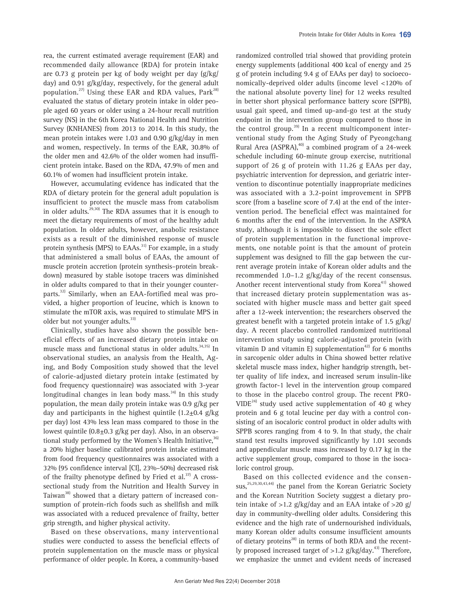rea, the current estimated average requirement (EAR) and recommended daily allowance (RDA) for protein intake are 0.73 g protein per kg of body weight per day (g/kg/ day) and 0.91 g/kg/day, respectively, for the general adult population.<sup>27)</sup> Using these EAR and RDA values,  $Park^{28}$ evaluated the status of dietary protein intake in older people aged 60 years or older using a 24-hour recall nutrition survey (NS) in the 6th Korea National Health and Nutrition Survey (KNHANES) from 2013 to 2014. In this study, the mean protein intakes were 1.03 and 0.90 g/kg/day in men and women, respectively. In terms of the EAR, 30.8% of the older men and 42.6% of the older women had insufficient protein intake. Based on the RDA, 47.9% of men and 60.1% of women had insufficient protein intake.

However, accumulating evidence has indicated that the RDA of dietary protein for the general adult population is insufficient to protect the muscle mass from catabolism in older adults. $29,30)$  The RDA assumes that it is enough to meet the dietary requirements of most of the healthy adult population. In older adults, however, anabolic resistance exists as a result of the diminished response of muscle protein synthesis (MPS) to EAAs. $31$ <sup>1</sup> For example, in a study that administered a small bolus of EAAs, the amount of muscle protein accretion (protein synthesis–protein breakdown) measured by stable isotope tracers was diminished in older adults compared to that in their younger counterparts.<sup>32)</sup> Similarly, when an EAA-fortified meal was provided, a higher proportion of leucine, which is known to stimulate the mTOR axis, was required to stimulate MPS in older but not younger adults.<sup>33)</sup>

Clinically, studies have also shown the possible beneficial effects of an increased dietary protein intake on muscle mass and functional status in older adults.<sup>34,35)</sup> In observational studies, an analysis from the Health, Aging, and Body Composition study showed that the level of calorie-adjusted dietary protein intake (estimated by food frequency questionnaire) was associated with 3-year longitudinal changes in lean body mass. $34$  In this study population, the mean daily protein intake was 0.9 g/kg per day and participants in the highest quintile  $(1.2\pm0.4 \text{ g/kg})$ per day) lost 43% less lean mass compared to those in the lowest quintile  $(0.8\pm0.3 \text{ g/kg} \text{ per day})$ . Also, in an observational study performed by the Women's Health Initiative,  $36$ a 20% higher baseline calibrated protein intake estimated from food frequency questionnaires was associated with a 32% (95 confidence interval [CI], 23%–50%) decreased risk of the frailty phenotype defined by Fried et al. $^{37)}$  A crosssectional study from the Nutrition and Health Survey in Taiwan<sup>38)</sup> showed that a dietary pattern of increased consumption of protein-rich foods such as shellfish and milk was associated with a reduced prevalence of frailty, better grip strength, and higher physical activity.

Based on these observations, many interventional studies were conducted to assess the beneficial effects of protein supplementation on the muscle mass or physical performance of older people. In Korea, a community-based

randomized controlled trial showed that providing protein energy supplements (additional 400 kcal of energy and 25 g of protein including 9.4 g of EAAs per day) to socioeconomically-deprived older adults (income level <120% of the national absolute poverty line) for 12 weeks resulted in better short physical performance battery score (SPPB), usual gait speed, and timed up-and-go test at the study endpoint in the intervention group compared to those in the control group.<sup>39)</sup> In a recent multicomponent interventional study from the Aging Study of Pyeongchang Rural Area (ASPRA), $40$ <sup>d</sup> a combined program of a 24-week schedule including 60-minute group exercise, nutritional support of 26 g of protein with 11.26 g EAAs per day, psychiatric intervention for depression, and geriatric intervention to discontinue potentially inappropriate medicines was associated with a 3.2-point improvement in SPPB score (from a baseline score of 7.4) at the end of the intervention period. The beneficial effect was maintained for 6 months after the end of the intervention. In the ASPRA study, although it is impossible to dissect the sole effect of protein supplementation in the functional improvements, one notable point is that the amount of protein supplement was designed to fill the gap between the current average protein intake of Korean older adults and the recommended 1.0–1.2 g/kg/day of the recent consensus. Another recent interventional study from Korea<sup>41)</sup> showed that increased dietary protein supplementation was associated with higher muscle mass and better gait speed after a 12-week intervention; the researchers observed the greatest benefit with a targeted protein intake of 1.5 g/kg/ day. A recent placebo controlled randomized nutritional intervention study using calorie-adjusted protein (with vitamin D and vitamin E) supplementation<sup>42)</sup> for 6 months in sarcopenic older adults in China showed better relative skeletal muscle mass index, higher handgrip strength, better quality of life index, and increased serum insulin-like growth factor-1 level in the intervention group compared to those in the placebo control group. The recent PRO- $VIDE<sup>24</sup>$  study used active supplementation of 40 g whey protein and 6 g total leucine per day with a control consisting of an isocaloric control product in older adults with SPPB scores ranging from 4 to 9. In that study, the chair stand test results improved significantly by 1.01 seconds and appendicular muscle mass increased by 0.17 kg in the active supplement group, compared to those in the isocaloric control group.

Based on this collected evidence and the consensus,<sup>25,29,30,43,44)</sup> the panel from the Korean Geriatric Society and the Korean Nutrition Society suggest a dietary protein intake of  $>1.2$  g/kg/day and an EAA intake of  $>20$  g/ day in community-dwelling older adults. Considering this evidence and the high rate of undernourished individuals, many Korean older adults consume insufficient amounts of dietary proteins<sup>28)</sup> in terms of both RDA and the recently proposed increased target of  $>1.2$  g/kg/day.<sup>43)</sup> Therefore, we emphasize the unmet and evident needs of increased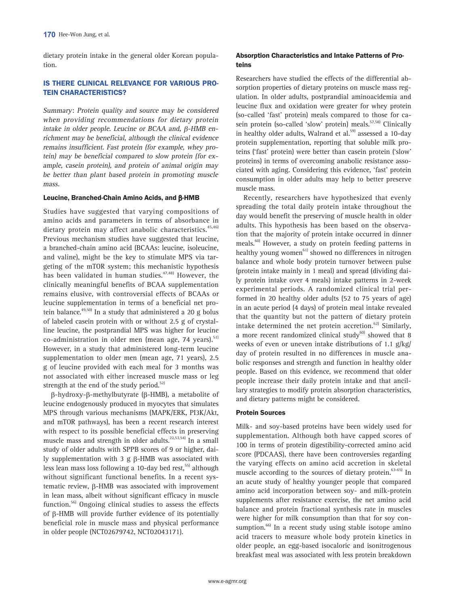dietary protein intake in the general older Korean population.

## IS THERE CLINICAL RELEVANCE FOR VARIOUS PRO-TEIN CHARACTERISTICS?

Summary: Protein quality and source may be considered when providing recommendations for dietary protein intake in older people. Leucine or BCAA and, β-HMB enrichment may be beneficial, although the clinical evidence remains insufficient. Fast protein (for example, whey protein) may be beneficial compared to slow protein (for example, casein protein), and protein of animal origin may be better than plant based protein in promoting muscle mass.

#### Leucine, Branched-Chain Amino Acids, and β-HMB

Studies have suggested that varying compositions of amino acids and parameters in terms of absorbance in dietary protein may affect anabolic characteristics.<sup>45,46)</sup> Previous mechanism studies have suggested that leucine, a branched-chain amino acid (BCAAs: leucine, isoleucine, and valine), might be the key to stimulate MPS via targeting of the mTOR system; this mechanistic hypothesis has been validated in human studies. $47,48$  However, the clinically meaningful benefits of BCAA supplementation remains elusive, with controversial effects of BCAAs or leucine supplementation in terms of a beneficial net protein balance.<sup>49,50)</sup> In a study that administered a 20 g bolus of labeled casein protein with or without 2.5 g of crystalline leucine, the postprandial MPS was higher for leucine co-administration in older men (mean age, 74 years). $51$ However, in a study that administered long-term leucine supplementation to older men (mean age, 71 years), 2.5 g of leucine provided with each meal for 3 months was not associated with either increased muscle mass or leg strength at the end of the study period. $52$ 

β-hydroxy-β-methylbutyrate (β-HMB), a metabolite of leucine endogenously produced in myocytes that simulates MPS through various mechanisms (MAPK/ERK, PI3K/Akt, and mTOR pathways), has been a recent research interest with respect to its possible beneficial effects in preserving muscle mass and strength in older adults.<sup>22,53,54)</sup> In a small study of older adults with SPPB scores of 9 or higher, daily supplementation with 3 g β-HMB was associated with less lean mass loss following a 10-day bed rest,<sup>55)</sup> although without significant functional benefits. In a recent systematic review, β-HMB was associated with improvement in lean mass, albeit without significant efficacy in muscle function.<sup>56)</sup> Ongoing clinical studies to assess the effects of β-HMB will provide further evidence of its potentially beneficial role in muscle mass and physical performance in older people (NCT02679742, NCT02043171).

## Absorption Characteristics and Intake Patterns of Proteins

Researchers have studied the effects of the differential absorption properties of dietary proteins on muscle mass regulation. In older adults, postprandial aminoacidemia and leucine flux and oxidation were greater for whey protein (so-called 'fast' protein) meals compared to those for casein protein (so-called 'slow' protein) meals.<sup>57,58)</sup> Clinically in healthy older adults, Walrand et al.<sup>59)</sup> assessed a 10-day protein supplementation, reporting that soluble milk proteins ('fast' protein) were better than casein protein ('slow' proteins) in terms of overcoming anabolic resistance associated with aging. Considering this evidence, 'fast' protein consumption in older adults may help to better preserve muscle mass.

Recently, researchers have hypothesized that evenly spreading the total daily protein intake throughout the day would benefit the preserving of muscle health in older adults. This hypothesis has been based on the observation that the majority of protein intake occurred in dinner meals.<sup>60)</sup> However, a study on protein feeding patterns in healthy young women<sup>61)</sup> showed no differences in nitrogen balance and whole body protein turnover between pulse (protein intake mainly in 1 meal) and spread (dividing daily protein intake over 4 meals) intake patterns in 2-week experimental periods. A randomized clinical trial performed in 20 healthy older adults (52 to 75 years of age) in an acute period (4 days) of protein meal intake revealed that the quantity but not the pattern of dietary protein intake determined the net protein accretion.<sup>62)</sup> Similarly, a more recent randomized clinical study $60$  showed that 8 weeks of even or uneven intake distributions of 1.1 g/kg/ day of protein resulted in no differences in muscle anabolic responses and strength and function in healthy older people. Based on this evidence, we recommend that older people increase their daily protein intake and that ancillary strategies to modify protein absorption characteristics, and dietary patterns might be considered.

#### Protein Sources

Milk- and soy-based proteins have been widely used for supplementation. Although both have capped scores of 100 in terms of protein digestibility-corrected amino acid score (PDCAAS), there have been controversies regarding the varying effects on amino acid accretion in skeletal muscle according to the sources of dietary protein.<sup>63-65)</sup> In an acute study of healthy younger people that compared amino acid incorporation between soy- and milk-protein supplements after resistance exercise, the net amino acid balance and protein fractional synthesis rate in muscles were higher for milk consumption than that for soy consumption.<sup>66)</sup> In a recent study using stable isotope amino acid tracers to measure whole body protein kinetics in older people, an egg-based isocaloric and isonitrogenous breakfast meal was associated with less protein breakdown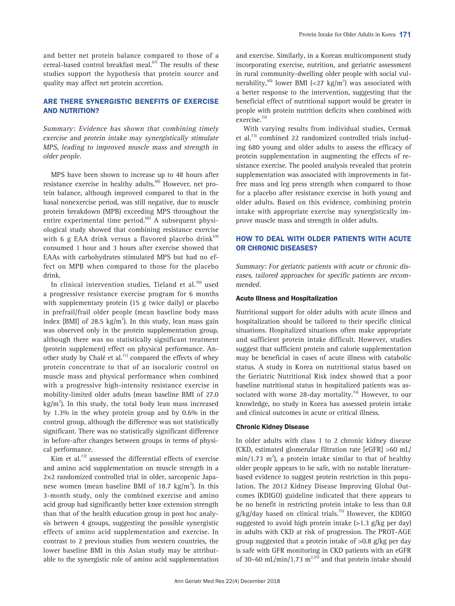and better net protein balance compared to those of a cereal-based control breakfast meal.<sup>67)</sup> The results of these studies support the hypothesis that protein source and quality may affect net protein accretion.

## ARE THERE SYNERGISTIC BENEFITS OF EXERCISE AND NUTRITION?

Summary: Evidence has shown that combining timely exercise and protein intake may synergistically stimulate MPS, leading to improved muscle mass and strength in older people.

MPS have been shown to increase up to 48 hours after resistance exercise in healthy adults.<sup>68)</sup> However, net protein balance, although improved compared to that in the basal nonexercise period, was still negative, due to muscle protein breakdown (MPB) exceeding MPS throughout the entire experimental time period. $68$ <sup>88</sup> A subsequent physiological study showed that combining resistance exercise with 6 g EAA drink versus a flavored placebo drink $69$ consumed 1 hour and 3 hours after exercise showed that EAAs with carbohydrates stimulated MPS but had no effect on MPB when compared to those for the placebo drink.

In clinical intervention studies, Tieland et al. $70)$  used a progressive resistance exercise program for 6 months with supplementary protein (15 g twice daily) or placebo in prefrail/frail older people (mean baseline body mass index [BMI] of 28.5  $\text{kg/m}^2$ ). In this study, lean mass gain was observed only in the protein supplementation group, although there was no statistically significant treatment (protein supplement) effect on physical performance. Another study by Chalé et al.<sup>71)</sup> compared the effects of whey protein concentrate to that of an isocaloric control on muscle mass and physical performance when combined with a progressive high-intensity resistance exercise in mobility-limited older adults (mean baseline BMI of 27.0  $\text{kg/m}^2$ ). In this study, the total body lean mass increased by 1.3% in the whey protein group and by 0.6% in the control group, although the difference was not statistically significant. There was no statistically significant difference in before-after changes between groups in terms of physical performance.

Kim et al. $^{72)}$  assessed the differential effects of exercise and amino acid supplementation on muscle strength in a 2×2 randomized controlled trial in older, sarcopenic Japanese women (mean baseline BMI of 18.7 kg/m<sup>2</sup>). In this 3-month study, only the combined exercise and amino acid group had significantly better knee extension strength than that of the health education group in post hoc analysis between 4 groups, suggesting the possible synergistic effects of amino acid supplementation and exercise. In contrast to 2 previous studies from western countries, the lower baseline BMI in this Asian study may be attributable to the synergistic role of amino acid supplementation

and exercise. Similarly, in a Korean multicomponent study incorporating exercise, nutrition, and geriatric assessment in rural community-dwelling older people with social vulnerability,<sup>40)</sup> lower BMI (<27 kg/m<sup>2</sup>) was associated with a better response to the intervention, suggesting that the beneficial effect of nutritional support would be greater in people with protein nutrition deficits when combined with exercise.35)

With varying results from individual studies, Cermak et al.<sup>73)</sup> combined 22 randomized controlled trials including 680 young and older adults to assess the efficacy of protein supplementation in augmenting the effects of resistance exercise. The pooled analysis revealed that protein supplementation was associated with improvements in fatfree mass and leg press strength when compared to those for a placebo after resistance exercise in both young and older adults. Based on this evidence, combining protein intake with appropriate exercise may synergistically improve muscle mass and strength in older adults.

## HOW TO DEAL WITH OLDER PATIENTS WITH ACUTE OR CHRONIC DISEASES?

Summary: For geriatric patients with acute or chronic diseases, tailored approaches for specific patients are recommended.

#### Acute Illness and Hospitalization

Nutritional support for older adults with acute illness and hospitalization should be tailored to their specific clinical situations. Hospitalized situations often make appropriate and sufficient protein intake difficult. However, studies suggest that sufficient protein and calorie supplementation may be beneficial in cases of acute illness with catabolic status. A study in Korea on nutritional status based on the Geriatric Nutritional Risk index showed that a poor baseline nutritional status in hospitalized patients was associated with worse 28-day mortality.<sup>74)</sup> However, to our knowledge, no study in Korea has assessed protein intake and clinical outcomes in acute or critical illness.

### Chronic Kidney Disease

In older adults with class 1 to 2 chronic kidney disease (CKD, estimated glomerular filtration rate [eGFR] >60 mL/  $min/1.73$   $m^2$ ), a protein intake similar to that of healthy older people appears to be safe, with no notable literaturebased evidence to suggest protein restriction in this population. The 2012 Kidney Disease Improving Global Outcomes (KDIGO) guideline indicated that there appears to be no benefit in restricting protein intake to less than 0.8  $g/kg/day$  based on clinical trials.<sup>75)</sup> However, the KDIGO suggested to avoid high protein intake  $(>1.3 \text{ g/kg} \text{ per day})$ in adults with CKD at risk of progression. The PROT-AGE group suggested that a protein intake of >0.8 g/kg per day is safe with GFR monitoring in CKD patients with an eGFR of 30–60 mL/min/1.73  $m^{2,25}$  and that protein intake should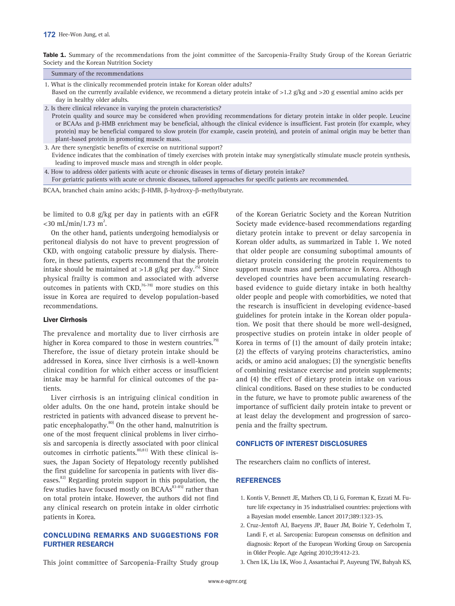Table 1. Summary of the recommendations from the joint committee of the Sarcopenia-Frailty Study Group of the Korean Geriatric Society and the Korean Nutrition Society

| Summary of the recommendations                                                                                                             |
|--------------------------------------------------------------------------------------------------------------------------------------------|
| 1. What is the clinically recommended protein intake for Korean older adults?                                                              |
| Bosed on the currently available evidence we recommend a distany protein intake of $\leq 1.2$ g/kg and $\leq 20$ gecential amino acids per |

d on the currently available evidence, we recommend a dietary protein intake of >1.2 g/kg and >20 g essential amino acids per day in healthy older adults.

2. Is there clinical relevance in varying the protein characteristics?

 Protein quality and source may be considered when providing recommendations for dietary protein intake in older people. Leucine or BCAAs and β-HMB enrichment may be beneficial, although the clinical evidence is insufficient. Fast protein (for example, whey protein) may be beneficial compared to slow protein (for example, casein protein), and protein of animal origin may be better than plant-based protein in promoting muscle mass.

3. Are there synergistic benefits of exercise on nutritional support?

 Evidence indicates that the combination of timely exercises with protein intake may synergistically stimulate muscle protein synthesis, leading to improved muscle mass and strength in older people.

4. How to address older patients with acute or chronic diseases in terms of dietary protein intake? For geriatric patients with acute or chronic diseases, tailored approaches for specific patients are recommended.

BCAA, branched chain amino acids; β-HMB, β-hydroxy-β-methylbutyrate.

be limited to 0.8 g/kg per day in patients with an eGFR  $<$ 30 mL/min/1.73 m<sup>2</sup>.

On the other hand, patients undergoing hemodialysis or peritoneal dialysis do not have to prevent progression of CKD, with ongoing catabolic pressure by dialysis. Therefore, in these patients, experts recommend that the protein intake should be maintained at >1.8 g/kg per day.<sup>25)</sup> Since physical frailty is common and associated with adverse outcomes in patients with  $CKD$ ,<sup>76-78)</sup> more studies on this issue in Korea are required to develop population-based recommendations.

#### Liver Cirrhosis

The prevalence and mortality due to liver cirrhosis are higher in Korea compared to those in western countries.<sup>79)</sup> Therefore, the issue of dietary protein intake should be addressed in Korea, since liver cirrhosis is a well-known clinical condition for which either access or insufficient intake may be harmful for clinical outcomes of the patients.

Liver cirrhosis is an intriguing clinical condition in older adults. On the one hand, protein intake should be restricted in patients with advanced disease to prevent hepatic encephalopathy.<sup>80)</sup> On the other hand, malnutrition is one of the most frequent clinical problems in liver cirrhosis and sarcopenia is directly associated with poor clinical outcomes in cirrhotic patients. $80,81)$  With these clinical issues, the Japan Society of Hepatology recently published the first guideline for sarcopenia in patients with liver diseases.<sup>82)</sup> Regarding protein support in this population, the few studies have focused mostly on BCAAs<sup>83-85)</sup> rather than on total protein intake. However, the authors did not find any clinical research on protein intake in older cirrhotic patients in Korea.

## CONCLUDING REMARKS AND SUGGESTIONS FOR FURTHER RESEARCH

This joint committee of Sarcopenia-Frailty Study group

of the Korean Geriatric Society and the Korean Nutrition Society made evidence-based recommendations regarding dietary protein intake to prevent or delay sarcopenia in Korean older adults, as summarized in Table 1. We noted that older people are consuming suboptimal amounts of dietary protein considering the protein requirements to support muscle mass and performance in Korea. Although developed countries have been accumulating researchbased evidence to guide dietary intake in both healthy older people and people with comorbidities, we noted that the research is insufficient in developing evidence-based guidelines for protein intake in the Korean older population. We posit that there should be more well-designed, prospective studies on protein intake in older people of Korea in terms of (1) the amount of daily protein intake; (2) the effects of varying proteins characteristics, amino acids, or amino acid analogues; (3) the synergistic benefits of combining resistance exercise and protein supplements; and (4) the effect of dietary protein intake on various clinical conditions. Based on these studies to be conducted in the future, we have to promote public awareness of the importance of sufficient daily protein intake to prevent or at least delay the development and progression of sarcopenia and the frailty spectrum.

#### CONFLICTS OF INTEREST DISCLOSURES

The researchers claim no conflicts of interest.

#### REFERENCES

- 1. Kontis V, Bennett JE, Mathers CD, Li G, Foreman K, Ezzati M. Future life expectancy in 35 industrialised countries: projections with a Bayesian model ensemble. Lancet 2017;389:1323-35.
- 2. Cruz-Jentoft AJ, Baeyens JP, Bauer JM, Boirie Y, Cederholm T, Landi F, et al. Sarcopenia: European consensus on definition and diagnosis: Report of the European Working Group on Sarcopenia in Older People. Age Ageing 2010;39:412-23.
- 3. Chen LK, Liu LK, Woo J, Assantachai P, Auyeung TW, Bahyah KS,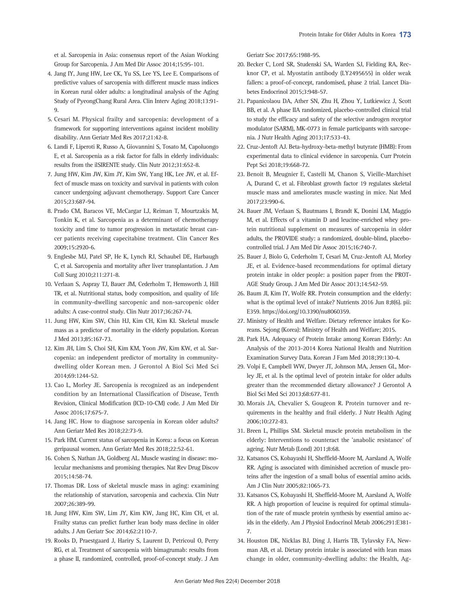et al. Sarcopenia in Asia: consensus report of the Asian Working Group for Sarcopenia. J Am Med Dir Assoc 2014;15:95-101.

- 4. Jang IY, Jung HW, Lee CK, Yu SS, Lee YS, Lee E. Comparisons of predictive values of sarcopenia with different muscle mass indices in Korean rural older adults: a longitudinal analysis of the Aging Study of PyeongChang Rural Area. Clin Interv Aging 2018;13:91- 9.
- 5. Cesari M. Physical frailty and sarcopenia: development of a framework for supporting interventions against incident mobility disability. Ann Geriatr Med Res 2017;21:42-8.
- 6. Landi F, Liperoti R, Russo A, Giovannini S, Tosato M, Capoluongo E, et al. Sarcopenia as a risk factor for falls in elderly individuals: results from the ilSIRENTE study. Clin Nutr 2012;31:652-8.
- 7. Jung HW, Kim JW, Kim JY, Kim SW, Yang HK, Lee JW, et al. Effect of muscle mass on toxicity and survival in patients with colon cancer undergoing adjuvant chemotherapy. Support Care Cancer 2015;23:687-94.
- 8. Prado CM, Baracos VE, McCargar LJ, Reiman T, Mourtzakis M, Tonkin K, et al. Sarcopenia as a determinant of chemotherapy toxicity and time to tumor progression in metastatic breast cancer patients receiving capecitabine treatment. Clin Cancer Res 2009;15:2920-6.
- 9. Englesbe MJ, Patel SP, He K, Lynch RJ, Schaubel DE, Harbaugh C, et al. Sarcopenia and mortality after liver transplantation. J Am Coll Surg 2010;211:271-8.
- 10. Verlaan S, Aspray TJ, Bauer JM, Cederholm T, Hemsworth J, Hill TR, et al. Nutritional status, body composition, and quality of life in community-dwelling sarcopenic and non-sarcopenic older adults: A case-control study. Clin Nutr 2017;36:267-74.
- 11. Jung HW, Kim SW, Chin HJ, Kim CH, Kim KI. Skeletal muscle mass as a predictor of mortality in the elderly population. Korean J Med 2013;85:167-73.
- 12. Kim JH, Lim S, Choi SH, Kim KM, Yoon JW, Kim KW, et al. Sarcopenia: an independent predictor of mortality in communitydwelling older Korean men. J Gerontol A Biol Sci Med Sci 2014;69:1244-52.
- 13. Cao L, Morley JE. Sarcopenia is recognized as an independent condition by an International Classification of Disease, Tenth Revision, Clinical Modification (ICD-10-CM) code. J Am Med Dir Assoc 2016;17:675-7.
- 14. Jang HC. How to diagnose sarcopenia in Korean older adults? Ann Geriatr Med Res 2018;22:73-9.
- 15. Park HM. Current status of sarcopenia in Korea: a focus on Korean geripausal women. Ann Geriatr Med Res 2018;22:52-61.
- 16. Cohen S, Nathan JA, Goldberg AL. Muscle wasting in disease: molecular mechanisms and promising therapies. Nat Rev Drug Discov 2015;14:58-74.
- 17. Thomas DR. Loss of skeletal muscle mass in aging: examining the relationship of starvation, sarcopenia and cachexia. Clin Nutr 2007;26:389-99.
- 18. Jung HW, Kim SW, Lim JY, Kim KW, Jang HC, Kim CH, et al. Frailty status can predict further lean body mass decline in older adults. J Am Geriatr Soc 2014;62:2110-7.
- 19. Rooks D, Praestgaard J, Hariry S, Laurent D, Petricoul O, Perry RG, et al. Treatment of sarcopenia with bimagrumab: results from a phase II, randomized, controlled, proof-of-concept study. J Am

Geriatr Soc 2017;65:1988-95.

- 20. Becker C, Lord SR, Studenski SA, Warden SJ, Fielding RA, Recknor CP, et al. Myostatin antibody (LY2495655) in older weak fallers: a proof-of-concept, randomised, phase 2 trial. Lancet Diabetes Endocrinol 2015;3:948-57.
- 21. Papanicolaou DA, Ather SN, Zhu H, Zhou Y, Lutkiewicz J, Scott BB, et al. A phase IIA randomized, placebo-controlled clinical trial to study the efficacy and safety of the selective androgen receptor modulator (SARM), MK-0773 in female participants with sarcopenia. J Nutr Health Aging 2013;17:533-43.
- 22. Cruz-Jentoft AJ. Beta-hydroxy-beta-methyl butyrate (HMB): From experimental data to clinical evidence in sarcopenia. Curr Protein Pept Sci 2018;19:668-72.
- 23. Benoit B, Meugnier E, Castelli M, Chanon S, Vieille-Marchiset A, Durand C, et al. Fibroblast growth factor 19 regulates skeletal muscle mass and ameliorates muscle wasting in mice. Nat Med 2017;23:990-6.
- 24. Bauer JM, Verlaan S, Bautmans I, Brandt K, Donini LM, Maggio M, et al. Effects of a vitamin D and leucine-enriched whey protein nutritional supplement on measures of sarcopenia in older adults, the PROVIDE study: a randomized, double-blind, placebocontrolled trial. J Am Med Dir Assoc 2015;16:740-7.
- 25. Bauer J, Biolo G, Cederholm T, Cesari M, Cruz-Jentoft AJ, Morley JE, et al. Evidence-based recommendations for optimal dietary protein intake in older people: a position paper from the PROT-AGE Study Group. J Am Med Dir Assoc 2013;14:542-59.
- 26. Baum JI, Kim IY, Wolfe RR. Protein consumption and the elderly: what is the optimal level of intake? Nutrients 2016 Jun 8;8(6). pii: E359. https://doi.org/10.3390/nu8060359.
- 27. Ministry of Health and Welfare. Dietary reference intakes for Koreans. Sejong (Korea): Ministry of Health and Welfare; 2015.
- 28. Park HA. Adequacy of Protein Intake among Korean Elderly: An Analysis of the 2013-2014 Korea National Health and Nutrition Examination Survey Data. Korean J Fam Med 2018;39:130-4.
- 29. Volpi E, Campbell WW, Dwyer JT, Johnson MA, Jensen GL, Morley JE, et al. Is the optimal level of protein intake for older adults greater than the recommended dietary allowance? J Gerontol A Biol Sci Med Sci 2013;68:677-81.
- 30. Morais JA, Chevalier S, Gougeon R. Protein turnover and requirements in the healthy and frail elderly. J Nutr Health Aging 2006;10:272-83.
- 31. Breen L, Phillips SM. Skeletal muscle protein metabolism in the elderly: Interventions to counteract the 'anabolic resistance' of ageing. Nutr Metab (Lond) 2011;8:68.
- 32. Katsanos CS, Kobayashi H, Sheffield-Moore M, Aarsland A, Wolfe RR. Aging is associated with diminished accretion of muscle proteins after the ingestion of a small bolus of essential amino acids. Am J Clin Nutr 2005;82:1065-73.
- 33. Katsanos CS, Kobayashi H, Sheffield-Moore M, Aarsland A, Wolfe RR. A high proportion of leucine is required for optimal stimulation of the rate of muscle protein synthesis by essential amino acids in the elderly. Am J Physiol Endocrinol Metab 2006;291:E381- 7.
- 34. Houston DK, Nicklas BJ, Ding J, Harris TB, Tylavsky FA, Newman AB, et al. Dietary protein intake is associated with lean mass change in older, community-dwelling adults: the Health, Ag-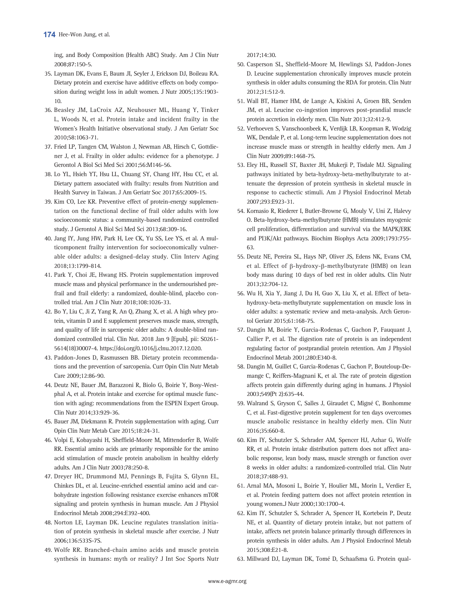ing, and Body Composition (Health ABC) Study. Am J Clin Nutr 2008;87:150-5.

- 35. Layman DK, Evans E, Baum JI, Seyler J, Erickson DJ, Boileau RA. Dietary protein and exercise have additive effects on body composition during weight loss in adult women. J Nutr 2005;135:1903- 10.
- 36. Beasley JM, LaCroix AZ, Neuhouser ML, Huang Y, Tinker L, Woods N, et al. Protein intake and incident frailty in the Women's Health Initiative observational study. J Am Geriatr Soc 2010;58:1063-71.
- 37. Fried LP, Tangen CM, Walston J, Newman AB, Hirsch C, Gottdiener J, et al. Frailty in older adults: evidence for a phenotype. J Gerontol A Biol Sci Med Sci 2001;56:M146-56.
- 38. Lo YL, Hsieh YT, Hsu LL, Chuang SY, Chang HY, Hsu CC, et al. Dietary pattern associated with frailty: results from Nutrition and Health Survey in Taiwan. J Am Geriatr Soc 2017;65:2009-15.
- 39. Kim CO, Lee KR. Preventive effect of protein-energy supplementation on the functional decline of frail older adults with low socioeconomic status: a community-based randomized controlled study. J Gerontol A Biol Sci Med Sci 2013;68:309-16.
- 40. Jang IY, Jung HW, Park H, Lee CK, Yu SS, Lee YS, et al. A multicomponent frailty intervention for socioeconomically vulnerable older adults: a designed-delay study. Clin Interv Aging 2018;13:1799-814.
- 41. Park Y, Choi JE, Hwang HS. Protein supplementation improved muscle mass and physical performance in the undernourished prefrail and frail elderly: a randomized, double-blind, placebo controlled trial. Am J Clin Nutr 2018;108:1026-33.
- 42. Bo Y, Liu C, Ji Z, Yang R, An Q, Zhang X, et al. A high whey protein, vitamin D and E supplement preserves muscle mass, strength, and quality of life in sarcopenic older adults: A double-blind randomized controlled trial. Clin Nut. 2018 Jan 9 [Epub]. pii: S0261- 5614(18)30007-4. https://doi.org/0.1016/j.clnu.2017.12.020.
- 43. Paddon-Jones D, Rasmussen BB. Dietary protein recommendations and the prevention of sarcopenia. Curr Opin Clin Nutr Metab Care 2009;12:86-90.
- 44. Deutz NE, Bauer JM, Barazzoni R, Biolo G, Boirie Y, Bosy-Westphal A, et al. Protein intake and exercise for optimal muscle function with aging: recommendations from the ESPEN Expert Group. Clin Nutr 2014;33:929-36.
- 45. Bauer JM, Diekmann R. Protein supplementation with aging. Curr Opin Clin Nutr Metab Care 2015;18:24-31.
- 46. Volpi E, Kobayashi H, Sheffield-Moore M, Mittendorfer B, Wolfe RR. Essential amino acids are primarily responsible for the amino acid stimulation of muscle protein anabolism in healthy elderly adults. Am J Clin Nutr 2003;78:250-8.
- 47. Dreyer HC, Drummond MJ, Pennings B, Fujita S, Glynn EL, Chinkes DL, et al. Leucine-enriched essential amino acid and carbohydrate ingestion following resistance exercise enhances mTOR signaling and protein synthesis in human muscle. Am J Physiol Endocrinol Metab 2008;294:E392-400.
- 48. Norton LE, Layman DK. Leucine regulates translation initiation of protein synthesis in skeletal muscle after exercise. J Nutr 2006;136:533S-7S.
- 49. Wolfe RR. Branched-chain amino acids and muscle protein synthesis in humans: myth or reality? J Int Soc Sports Nutr

2017;14:30.

- 50. Casperson SL, Sheffield-Moore M, Hewlings SJ, Paddon-Jones D. Leucine supplementation chronically improves muscle protein synthesis in older adults consuming the RDA for protein. Clin Nutr 2012;31:512-9.
- 51. Wall BT, Hamer HM, de Lange A, Kiskini A, Groen BB, Senden JM, et al. Leucine co-ingestion improves post-prandial muscle protein accretion in elderly men. Clin Nutr 2013;32:412-9.
- 52. Verhoeven S, Vanschoonbeek K, Verdijk LB, Koopman R, Wodzig WK, Dendale P, et al. Long-term leucine supplementation does not increase muscle mass or strength in healthy elderly men. Am J Clin Nutr 2009;89:1468-75.
- 53. Eley HL, Russell ST, Baxter JH, Mukerji P, Tisdale MJ. Signaling pathways initiated by beta-hydroxy-beta-methylbutyrate to attenuate the depression of protein synthesis in skeletal muscle in response to cachectic stimuli. Am J Physiol Endocrinol Metab 2007;293:E923-31.
- 54. Kornasio R, Riederer I, Butler-Browne G, Mouly V, Uni Z, Halevy O. Beta-hydroxy-beta-methylbutyrate (HMB) stimulates myogenic cell proliferation, differentiation and survival via the MAPK/ERK and PI3K/Akt pathways. Biochim Biophys Acta 2009;1793:755- 63.
- 55. Deutz NE, Pereira SL, Hays NP, Oliver JS, Edens NK, Evans CM, et al. Effect of β-hydroxy-β-methylbutyrate (HMB) on lean body mass during 10 days of bed rest in older adults. Clin Nutr 2013;32:704-12.
- 56. Wu H, Xia Y, Jiang J, Du H, Guo X, Liu X, et al. Effect of betahydroxy-beta-methylbutyrate supplementation on muscle loss in older adults: a systematic review and meta-analysis. Arch Gerontol Geriatr 2015;61:168-75.
- 57. Dangin M, Boirie Y, Garcia-Rodenas C, Gachon P, Fauquant J, Callier P, et al. The digestion rate of protein is an independent regulating factor of postprandial protein retention. Am J Physiol Endocrinol Metab 2001;280:E340-8.
- 58. Dangin M, Guillet C, Garcia-Rodenas C, Gachon P, Bouteloup-Demange C, Reiffers-Magnani K, et al. The rate of protein digestion affects protein gain differently during aging in humans. J Physiol 2003;549(Pt 2):635-44.
- 59. Walrand S, Gryson C, Salles J, Giraudet C, Migné C, Bonhomme C, et al. Fast-digestive protein supplement for ten days overcomes muscle anabolic resistance in healthy elderly men. Clin Nutr 2016;35:660-8.
- 60. Kim IY, Schutzler S, Schrader AM, Spencer HJ, Azhar G, Wolfe RR, et al. Protein intake distribution pattern does not affect anabolic response, lean body mass, muscle strength or function over 8 weeks in older adults: a randomized-controlled trial. Clin Nutr 2018;37:488-93.
- 61. Arnal MA, Mosoni L, Boirie Y, Houlier ML, Morin L, Verdier E, et al. Protein feeding pattern does not affect protein retention in young women.J Nutr 2000;130:1700-4.
- 62. Kim IY, Schutzler S, Schrader A, Spencer H, Kortebein P, Deutz NE, et al. Quantity of dietary protein intake, but not pattern of intake, affects net protein balance primarily through differences in protein synthesis in older adults. Am J Physiol Endocrinol Metab 2015;308:E21-8.
- 63. Millward DJ, Layman DK, Tomé D, Schaafsma G. Protein qual-